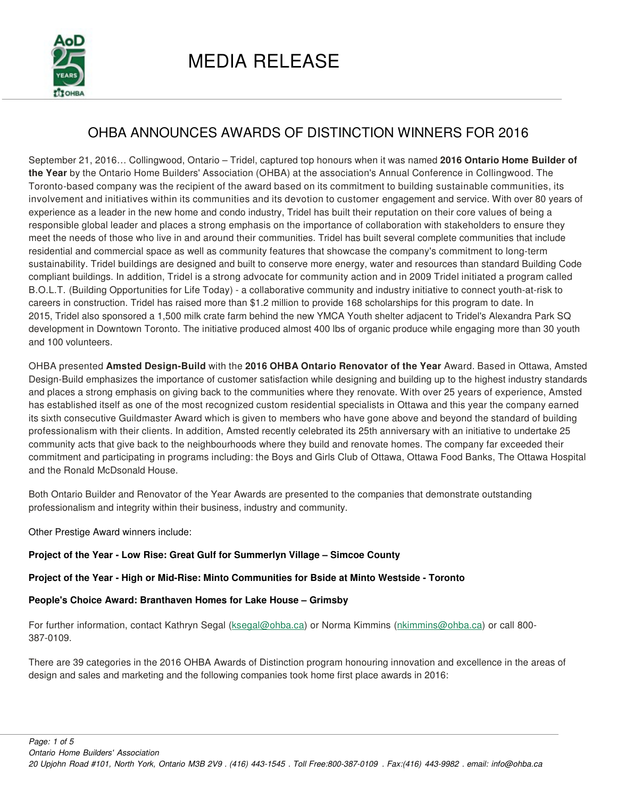

## OHBA ANNOUNCES AWARDS OF DISTINCTION WINNERS FOR 2016

September 21, 2016… Collingwood, Ontario – Tridel, captured top honours when it was named **2016 Ontario Home Builder of the Year** by the Ontario Home Builders' Association (OHBA) at the association's Annual Conference in Collingwood. The Toronto-based company was the recipient of the award based on its commitment to building sustainable communities, its involvement and initiatives within its communities and its devotion to customer engagement and service. With over 80 years of experience as a leader in the new home and condo industry, Tridel has built their reputation on their core values of being a responsible global leader and places a strong emphasis on the importance of collaboration with stakeholders to ensure they meet the needs of those who live in and around their communities. Tridel has built several complete communities that include residential and commercial space as well as community features that showcase the company's commitment to long-term sustainability. Tridel buildings are designed and built to conserve more energy, water and resources than standard Building Code compliant buildings. In addition, Tridel is a strong advocate for community action and in 2009 Tridel initiated a program called B.O.L.T. (Building Opportunities for Life Today) - a collaborative community and industry initiative to connect youth-at-risk to careers in construction. Tridel has raised more than \$1.2 million to provide 168 scholarships for this program to date. In 2015, Tridel also sponsored a 1,500 milk crate farm behind the new YMCA Youth shelter adjacent to Tridel's Alexandra Park SQ development in Downtown Toronto. The initiative produced almost 400 lbs of organic produce while engaging more than 30 youth and 100 volunteers.

OHBA presented **Amsted Design-Build** with the **2016 OHBA Ontario Renovator of the Year** Award. Based in Ottawa, Amsted Design-Build emphasizes the importance of customer satisfaction while designing and building up to the highest industry standards and places a strong emphasis on giving back to the communities where they renovate. With over 25 years of experience, Amsted has established itself as one of the most recognized custom residential specialists in Ottawa and this year the company earned its sixth consecutive Guildmaster Award which is given to members who have gone above and beyond the standard of building professionalism with their clients. In addition, Amsted recently celebrated its 25th anniversary with an initiative to undertake 25 community acts that give back to the neighbourhoods where they build and renovate homes. The company far exceeded their commitment and participating in programs including: the Boys and Girls Club of Ottawa, Ottawa Food Banks, The Ottawa Hospital and the Ronald McDsonald House.

Both Ontario Builder and Renovator of the Year Awards are presented to the companies that demonstrate outstanding professionalism and integrity within their business, industry and community.

Other Prestige Award winners include:

 **Project of the Year - Low Rise: Great Gulf for Summerlyn Village – Simcoe County** 

## **Project of the Year - High or Mid-Rise: Minto Communities for Bside at Minto Westside - Toronto**

## **People's Choice Award: Branthaven Homes for Lake House – Grimsby**

For further information, contact Kathryn Segal (ksegal@ohba.ca) or Norma Kimmins (nkimmins@ohba.ca) or call 800-387-0109.

There are 39 categories in the 2016 OHBA Awards of Distinction program honouring innovation and excellence in the areas of design and sales and marketing and the following companies took home first place awards in 2016: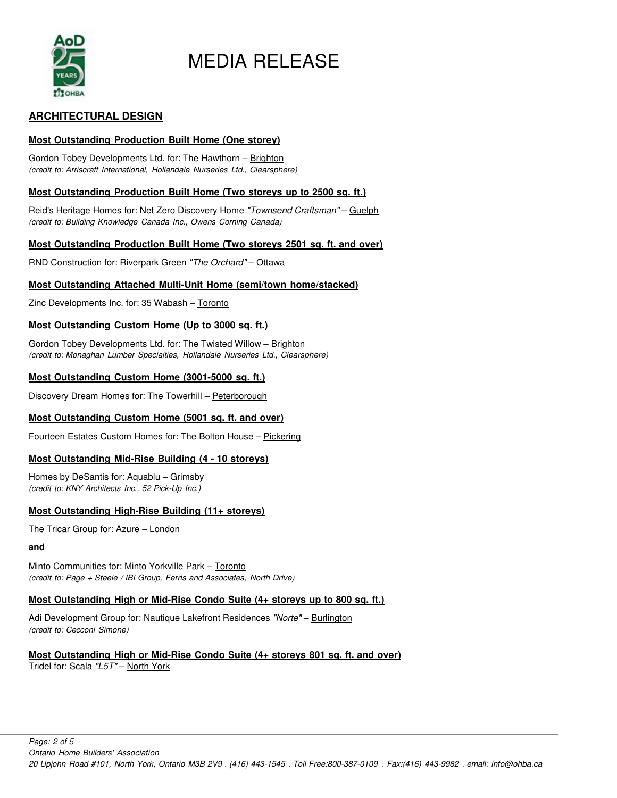

## **ARCHITECTURAL DESIGN**

## **Most Outstanding Production Built Home (One storey)**

Gordon Tobey Developments Ltd. for: The Hawthorn - Brighton *(credit to: Arriscraft International, Hollandale Nurseries Ltd., Clearsphere)*

#### **Most Outstanding Production Built Home (Two storeys up to 2500 sq. ft.)**

Reid's Heritage Homes for: Net Zero Discovery Home *"Townsend Craftsman"* – Guelph *(credit to: Building Knowledge Canada Inc., Owens Corning Canada)*

## **Most Outstanding Production Built Home (Two storeys 2501 sq. ft. and over)**

RND Construction for: Riverpark Green *"The Orchard"* – Ottawa

## **Most Outstanding Attached Multi-Unit Home (semi/town home/stacked)**

Zinc Developments Inc. for: 35 Wabash – Toronto

#### **Most Outstanding Custom Home (Up to 3000 sq. ft.)**

Gordon Tobey Developments Ltd. for: The Twisted Willow - Brighton *(credit to: Monaghan Lumber Specialties, Hollandale Nurseries Ltd., Clearsphere)*

## **Most Outstanding Custom Home (3001-5000 sq. ft.)**

Discovery Dream Homes for: The Towerhill – Peterborough

## **Most Outstanding Custom Home (5001 sq. ft. and over)**

Fourteen Estates Custom Homes for: The Bolton House – Pickering

## **Most Outstanding Mid-Rise Building (4 - 10 storeys)**

Homes by DeSantis for: Aquablu – Grimsby *(credit to: KNY Architects Inc., 52 Pick-Up Inc.)*

## **Most Outstanding High-Rise Building (11+ storeys)**

The Tricar Group for: Azure – London

**and**

Minto Communities for: Minto Yorkville Park - Toronto *(credit to: Page + Steele / IBI Group, Ferris and Associates, North Drive)*

## **Most Outstanding High or Mid-Rise Condo Suite (4+ storeys up to 800 sq. ft.)**

Adi Development Group for: Nautique Lakefront Residences *"Norte"* – Burlington *(credit to: Cecconi Simone)* 

#### **Most Outstanding High or Mid-Rise Condo Suite (4+ storeys 801 sq. ft. and over)** Tridel for: Scala *"L5T"* – North York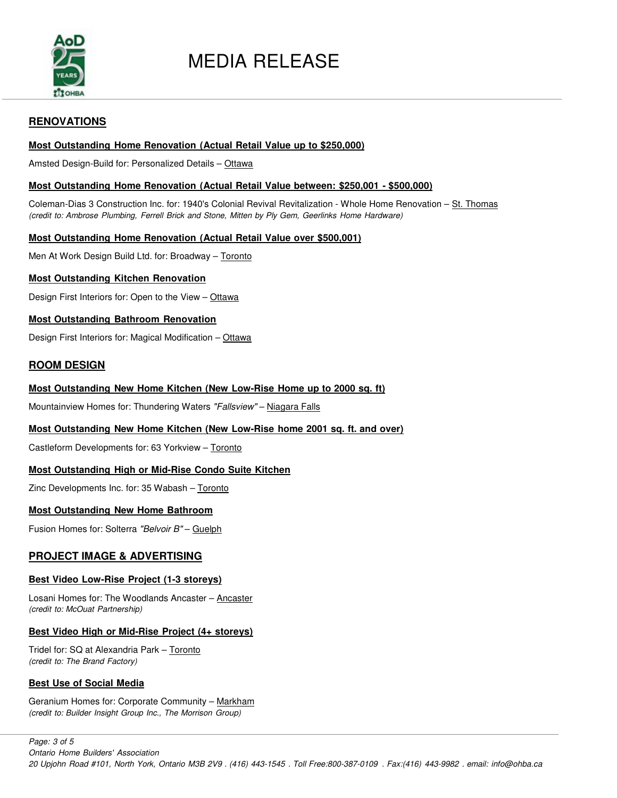

## MEDIA RELEASE

## **RENOVATIONS**

## **Most Outstanding Home Renovation (Actual Retail Value up to \$250,000)**

Amsted Design-Build for: Personalized Details - Ottawa

## **Most Outstanding Home Renovation (Actual Retail Value between: \$250,001 - \$500,000)**

Coleman-Dias 3 Construction Inc. for: 1940's Colonial Revival Revitalization - Whole Home Renovation – St. Thomas *(credit to: Ambrose Plumbing, Ferrell Brick and Stone, Mitten by Ply Gem, Geerlinks Home Hardware)*

## **Most Outstanding Home Renovation (Actual Retail Value over \$500,001)**

Men At Work Design Build Ltd. for: Broadway - Toronto

## **Most Outstanding Kitchen Renovation**

Design First Interiors for: Open to the View - Ottawa

## **Most Outstanding Bathroom Renovation**

Design First Interiors for: Magical Modification - Ottawa

## **ROOM DESIGN**

## **Most Outstanding New Home Kitchen (New Low-Rise Home up to 2000 sq. ft)**

Mountainview Homes for: Thundering Waters *"Fallsview"* – Niagara Falls

## **Most Outstanding New Home Kitchen (New Low-Rise home 2001 sq. ft. and over)**

Castleform Developments for: 63 Yorkview - Toronto

## **Most Outstanding High or Mid-Rise Condo Suite Kitchen**

Zinc Developments Inc. for: 35 Wabash – Toronto

## **Most Outstanding New Home Bathroom**

Fusion Homes for: Solterra *"Belvoir B"* – Guelph

## **PROJECT IMAGE & ADVERTISING**

## **Best Video Low-Rise Project (1-3 storeys)**

Losani Homes for: The Woodlands Ancaster – Ancaster *(credit to: McOuat Partnership)*

## **Best Video High or Mid-Rise Project (4+ storeys)**

Tridel for: SQ at Alexandria Park – Toronto *(credit to: The Brand Factory)* 

## **Best Use of Social Media**

Geranium Homes for: Corporate Community – Markham *(credit to: Builder Insight Group Inc., The Morrison Group)*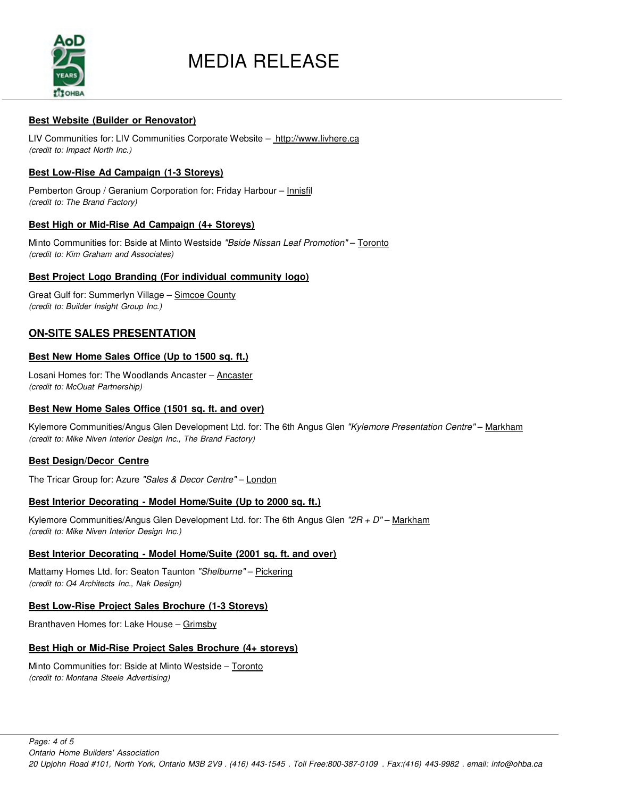

## MEDIA RELEASE

## **Best Website (Builder or Renovator)**

LIV Communities for: LIV Communities Corporate Website - http://www.livhere.ca *(credit to: Impact North Inc.)*

## **Best Low-Rise Ad Campaign (1-3 Storeys)**

Pemberton Group / Geranium Corporation for: Friday Harbour – Innisfil *(credit to: The Brand Factory)*

## **Best High or Mid-Rise Ad Campaign (4+ Storeys)**

Minto Communities for: Bside at Minto Westside *"Bside Nissan Leaf Promotion"* – Toronto *(credit to: Kim Graham and Associates)*

## **Best Project Logo Branding (For individual community logo)**

Great Gulf for: Summerlyn Village - Simcoe County *(credit to: Builder Insight Group Inc.)*

## **ON-SITE SALES PRESENTATION**

## **Best New Home Sales Office (Up to 1500 sq. ft.)**

Losani Homes for: The Woodlands Ancaster - Ancaster *(credit to: McOuat Partnership)*

## **Best New Home Sales Office (1501 sq. ft. and over)**

Kylemore Communities/Angus Glen Development Ltd. for: The 6th Angus Glen *"Kylemore Presentation Centre"* – Markham *(credit to: Mike Niven Interior Design Inc., The Brand Factory)*

## **Best Design/Decor Centre**

The Tricar Group for: Azure *"Sales & Decor Centre"* – London

## **Best Interior Decorating - Model Home/Suite (Up to 2000 sq. ft.)**

Kylemore Communities/Angus Glen Development Ltd. for: The 6th Angus Glen *"2R + D"* – Markham *(credit to: Mike Niven Interior Design Inc.)*

## **Best Interior Decorating - Model Home/Suite (2001 sq. ft. and over)**

Mattamy Homes Ltd. for: Seaton Taunton *"Shelburne"* – Pickering *(credit to: Q4 Architects Inc., Nak Design)*

## **Best Low-Rise Project Sales Brochure (1-3 Storeys)**

Branthaven Homes for: Lake House – Grimsby

## **Best High or Mid-Rise Project Sales Brochure (4+ storeys)**

Minto Communities for: Bside at Minto Westside – Toronto *(credit to: Montana Steele Advertising)*